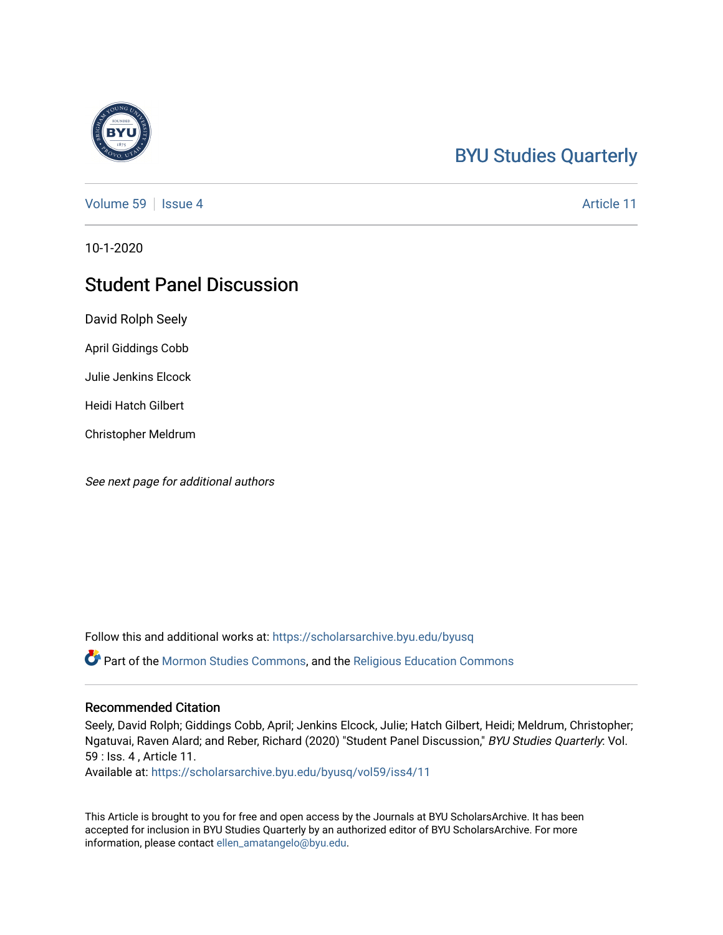# [BYU Studies Quarterly](https://scholarsarchive.byu.edu/byusq)

[Volume 59](https://scholarsarchive.byu.edu/byusq/vol59) | [Issue 4](https://scholarsarchive.byu.edu/byusq/vol59/iss4) Article 11

10-1-2020

# Student Panel Discussion

David Rolph Seely

April Giddings Cobb

Julie Jenkins Elcock

Heidi Hatch Gilbert

Christopher Meldrum

See next page for additional authors

Follow this and additional works at: [https://scholarsarchive.byu.edu/byusq](https://scholarsarchive.byu.edu/byusq?utm_source=scholarsarchive.byu.edu%2Fbyusq%2Fvol59%2Fiss4%2F11&utm_medium=PDF&utm_campaign=PDFCoverPages) 

Part of the [Mormon Studies Commons](http://network.bepress.com/hgg/discipline/1360?utm_source=scholarsarchive.byu.edu%2Fbyusq%2Fvol59%2Fiss4%2F11&utm_medium=PDF&utm_campaign=PDFCoverPages), and the [Religious Education Commons](http://network.bepress.com/hgg/discipline/1414?utm_source=scholarsarchive.byu.edu%2Fbyusq%2Fvol59%2Fiss4%2F11&utm_medium=PDF&utm_campaign=PDFCoverPages) 

#### Recommended Citation

Seely, David Rolph; Giddings Cobb, April; Jenkins Elcock, Julie; Hatch Gilbert, Heidi; Meldrum, Christopher; Ngatuvai, Raven Alard; and Reber, Richard (2020) "Student Panel Discussion," BYU Studies Quarterly: Vol. 59 : Iss. 4 , Article 11.

Available at: [https://scholarsarchive.byu.edu/byusq/vol59/iss4/11](https://scholarsarchive.byu.edu/byusq/vol59/iss4/11?utm_source=scholarsarchive.byu.edu%2Fbyusq%2Fvol59%2Fiss4%2F11&utm_medium=PDF&utm_campaign=PDFCoverPages) 

This Article is brought to you for free and open access by the Journals at BYU ScholarsArchive. It has been accepted for inclusion in BYU Studies Quarterly by an authorized editor of BYU ScholarsArchive. For more information, please contact [ellen\\_amatangelo@byu.edu.](mailto:ellen_amatangelo@byu.edu)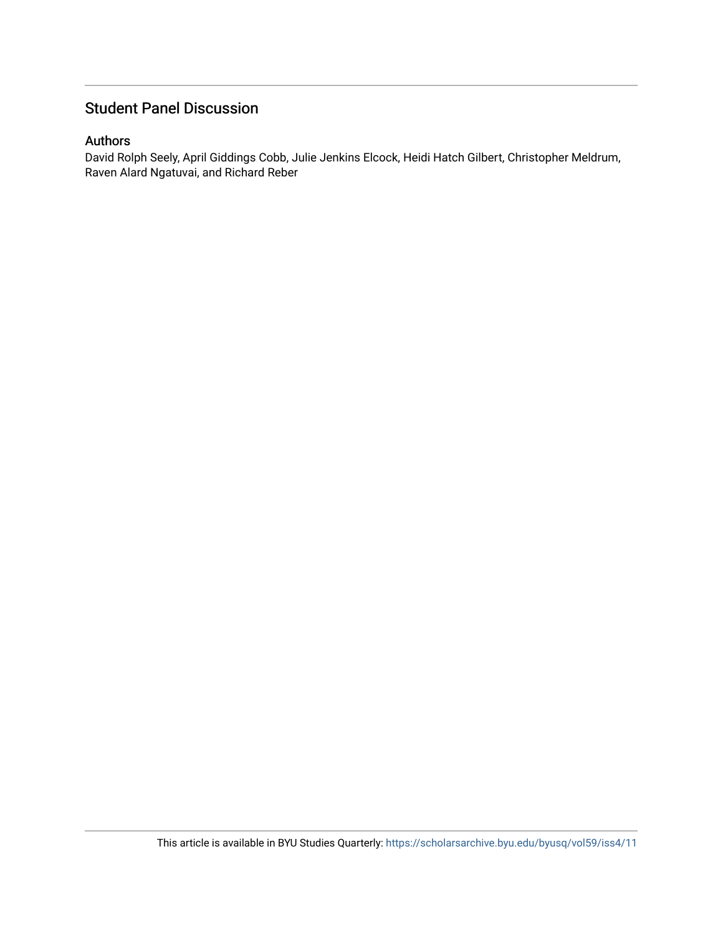# Student Panel Discussion

#### Authors

David Rolph Seely, April Giddings Cobb, Julie Jenkins Elcock, Heidi Hatch Gilbert, Christopher Meldrum, Raven Alard Ngatuvai, and Richard Reber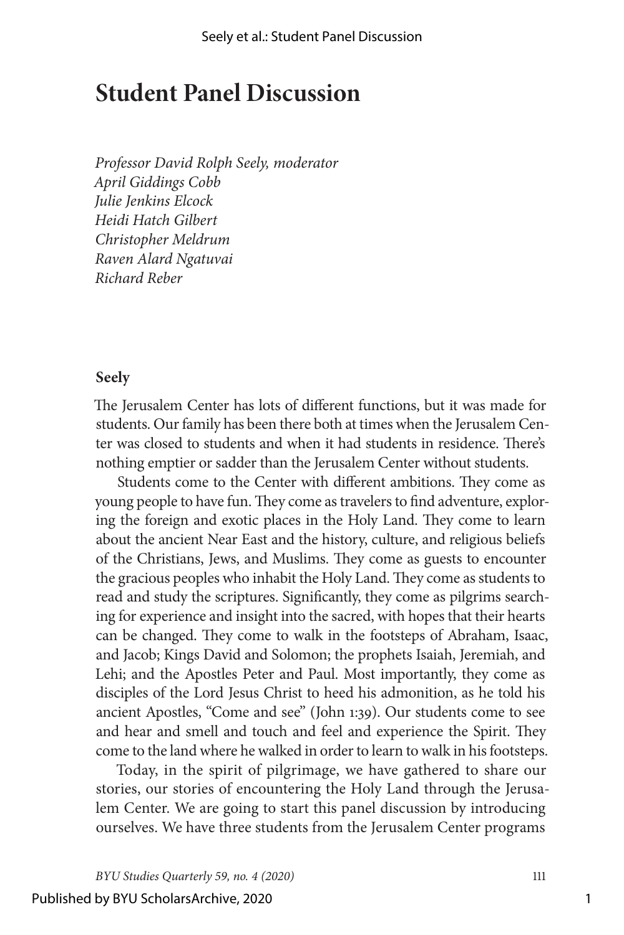# **Student Panel Discussion**

*Professor David Rolph Seely, moderator April Giddings Cobb Julie Jenkins Elcock Heidi Hatch Gilbert Christopher Meldrum Raven Alard Ngatuvai Richard Reber*

#### **Seely**

The Jerusalem Center has lots of different functions, but it was made for students. Our family has been there both at times when the Jerusalem Center was closed to students and when it had students in residence. There's nothing emptier or sadder than the Jerusalem Center without students.

Students come to the Center with different ambitions. They come as young people to have fun. They come as travelers to find adventure, exploring the foreign and exotic places in the Holy Land. They come to learn about the ancient Near East and the history, culture, and religious beliefs of the Christians, Jews, and Muslims. They come as guests to encounter the gracious peoples who inhabit the Holy Land. They come as students to read and study the scriptures. Significantly, they come as pilgrims searching for experience and insight into the sacred, with hopes that their hearts can be changed. They come to walk in the footsteps of Abraham, Isaac, and Jacob; Kings David and Solomon; the prophets Isaiah, Jeremiah, and Lehi; and the Apostles Peter and Paul. Most importantly, they come as disciples of the Lord Jesus Christ to heed his admonition, as he told his ancient Apostles, "Come and see" (John 1:39). Our students come to see and hear and smell and touch and feel and experience the Spirit. They come to the land where he walked in order to learn to walk in his footsteps.

Today, in the spirit of pilgrimage, we have gathered to share our stories, our stories of encountering the Holy Land through the Jerusalem Center. We are going to start this panel discussion by introducing ourselves. We have three students from the Jerusalem Center programs

#### Published by BYU ScholarsArchive, 2020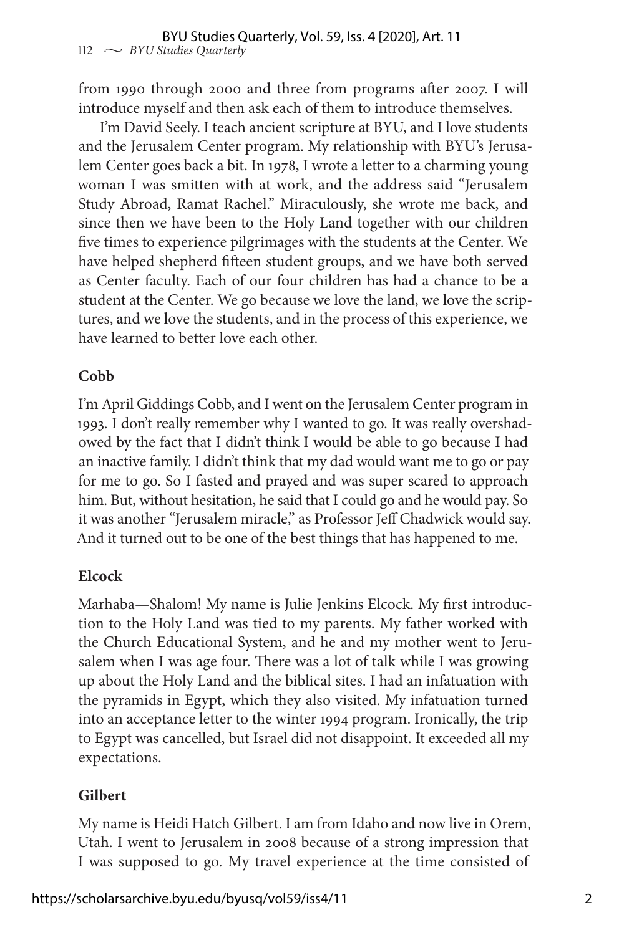from 1990 through 2000 and three from programs after 2007. I will introduce myself and then ask each of them to introduce themselves.

I'm David Seely. I teach ancient scripture at BYU, and I love students and the Jerusalem Center program. My relationship with BYU's Jerusalem Center goes back a bit. In 1978, I wrote a letter to a charming young woman I was smitten with at work, and the address said "Jerusalem Study Abroad, Ramat Rachel." Miraculously, she wrote me back, and since then we have been to the Holy Land together with our children five times to experience pilgrimages with the students at the Center. We have helped shepherd fifteen student groups, and we have both served as Center faculty. Each of our four children has had a chance to be a student at the Center. We go because we love the land, we love the scriptures, and we love the students, and in the process of this experience, we have learned to better love each other.

### **Cobb**

I'm April Giddings Cobb, and I went on the Jerusalem Center program in 1993. I don't really remember why I wanted to go. It was really overshadowed by the fact that I didn't think I would be able to go because I had an inactive family. I didn't think that my dad would want me to go or pay for me to go. So I fasted and prayed and was super scared to approach him. But, without hesitation, he said that I could go and he would pay. So it was another "Jerusalem miracle," as Professor Jeff Chadwick would say. And it turned out to be one of the best things that has happened to me.

#### **Elcock**

Marhaba—Shalom! My name is Julie Jenkins Elcock. My first introduction to the Holy Land was tied to my parents. My father worked with the Church Educational System, and he and my mother went to Jerusalem when I was age four. There was a lot of talk while I was growing up about the Holy Land and the biblical sites. I had an infatuation with the pyramids in Egypt, which they also visited. My infatuation turned into an acceptance letter to the winter 1994 program. Ironically, the trip to Egypt was cancelled, but Israel did not disappoint. It exceeded all my expectations.

#### **Gilbert**

My name is Heidi Hatch Gilbert. I am from Idaho and now live in Orem, Utah. I went to Jerusalem in 2008 because of a strong impression that I was supposed to go. My travel experience at the time consisted of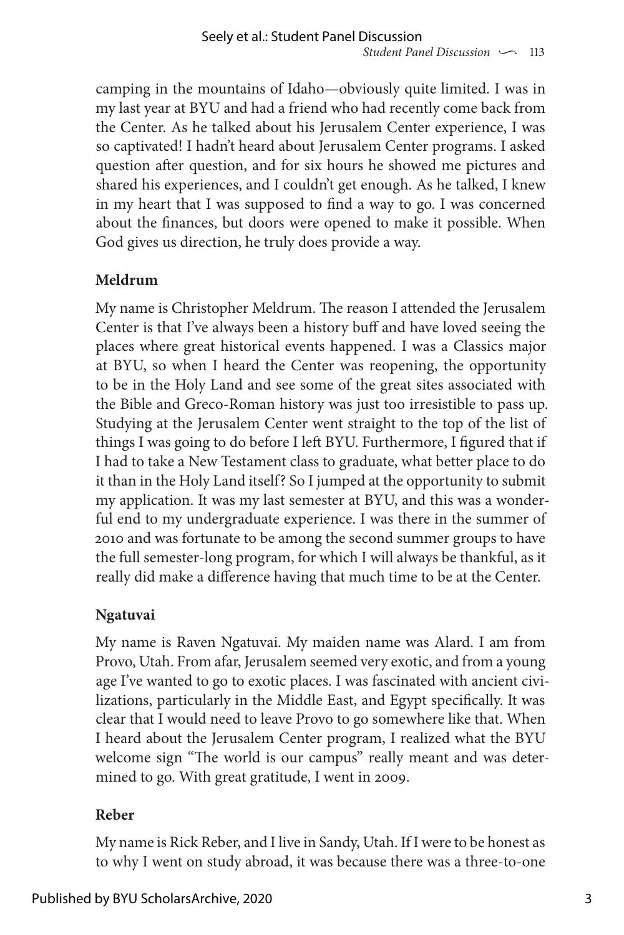camping in the mountains of Idaho—obviously quite limited. I was in my last year at BYU and had a friend who had recently come back from the Center. As he talked about his Jerusalem Center experience, I was so captivated! I hadn't heard about Jerusalem Center programs. I asked question after question, and for six hours he showed me pictures and shared his experiences, and I couldn't get enough. As he talked, I knew in my heart that I was supposed to find a way to go. I was concerned about the finances, but doors were opened to make it possible. When God gives us direction, he truly does provide a way.

## **Meldrum**

My name is Christopher Meldrum. The reason I attended the Jerusalem Center is that I've always been a history buff and have loved seeing the places where great historical events happened. I was a Classics major at BYU, so when I heard the Center was reopening, the opportunity to be in the Holy Land and see some of the great sites associated with the Bible and Greco-Roman history was just too irresistible to pass up. Studying at the Jerusalem Center went straight to the top of the list of things I was going to do before I left BYU. Furthermore, I figured that if I had to take a New Testament class to graduate, what better place to do it than in the Holy Land itself? So I jumped at the opportunity to submit my application. It was my last semester at BYU, and this was a wonderful end to my undergraduate experience. I was there in the summer of 2010 and was fortunate to be among the second summer groups to have the full semester-long program, for which I will always be thankful, as it really did make a difference having that much time to be at the Center.

## **Ngatuvai**

My name is Raven Ngatuvai. My maiden name was Alard. I am from Provo, Utah. From afar, Jerusalem seemed very exotic, and from a young age I've wanted to go to exotic places. I was fascinated with ancient civilizations, particularly in the Middle East, and Egypt specifically. It was clear that I would need to leave Provo to go somewhere like that. When I heard about the Jerusalem Center program, I realized what the BYU welcome sign "The world is our campus" really meant and was determined to go. With great gratitude, I went in 2009.

### **Reber**

My name is Rick Reber, and I live in Sandy, Utah. If I were to be honest as to why I went on study abroad, it was because there was a three-to-one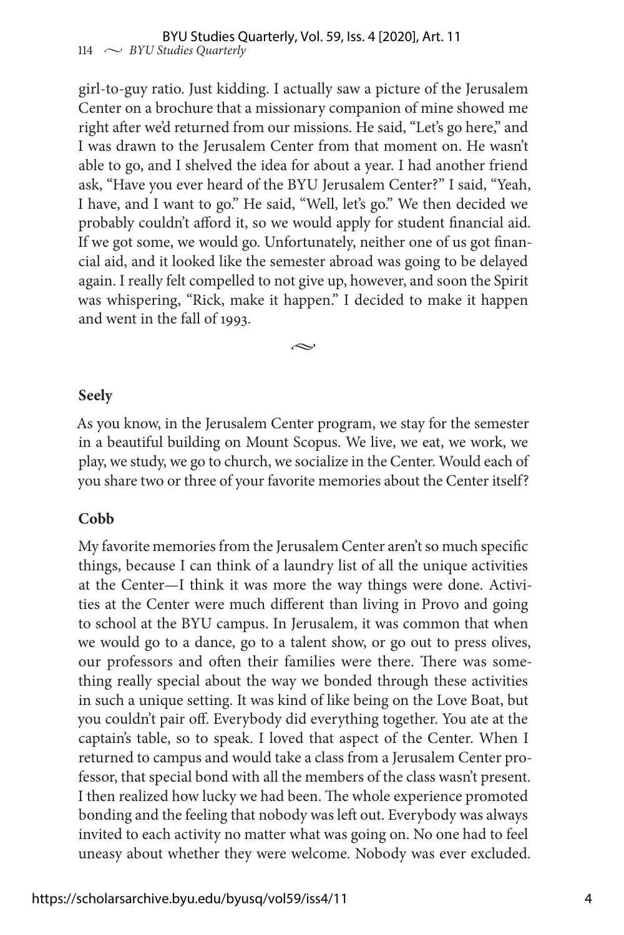girl-to-guy ratio. Just kidding. I actually saw a picture of the Jerusalem Center on a brochure that a missionary companion of mine showed me right after we'd returned from our missions. He said, "Let's go here," and I was drawn to the Jerusalem Center from that moment on. He wasn't able to go, and I shelved the idea for about a year. I had another friend ask, "Have you ever heard of the BYU Jerusalem Center?" I said, "Yeah, I have, and I want to go." He said, "Well, let's go." We then decided we probably couldn't afford it, so we would apply for student financial aid. If we got some, we would go. Unfortunately, neither one of us got financial aid, and it looked like the semester abroad was going to be delayed again. I really felt compelled to not give up, however, and soon the Spirit was whispering, "Rick, make it happen." I decided to make it happen and went in the fall of 1993.

**Seely**

As you know, in the Jerusalem Center program, we stay for the semester in a beautiful building on Mount Scopus. We live, we eat, we work, we play, we study, we go to church, we socialize in the Center. Would each of you share two or three of your favorite memories about the Center itself?

•

#### **Cobb**

My favorite memories from the Jerusalem Center aren't so much specific things, because I can think of a laundry list of all the unique activities at the Center—I think it was more the way things were done. Activities at the Center were much different than living in Provo and going to school at the BYU campus. In Jerusalem, it was common that when we would go to a dance, go to a talent show, or go out to press olives, our professors and often their families were there. There was something really special about the way we bonded through these activities in such a unique setting. It was kind of like being on the Love Boat, but you couldn't pair off. Everybody did everything together. You ate at the captain's table, so to speak. I loved that aspect of the Center. When I returned to campus and would take a class from a Jerusalem Center professor, that special bond with all the members of the class wasn't present. I then realized how lucky we had been. The whole experience promoted bonding and the feeling that nobody was left out. Everybody was always invited to each activity no matter what was going on. No one had to feel uneasy about whether they were welcome. Nobody was ever excluded.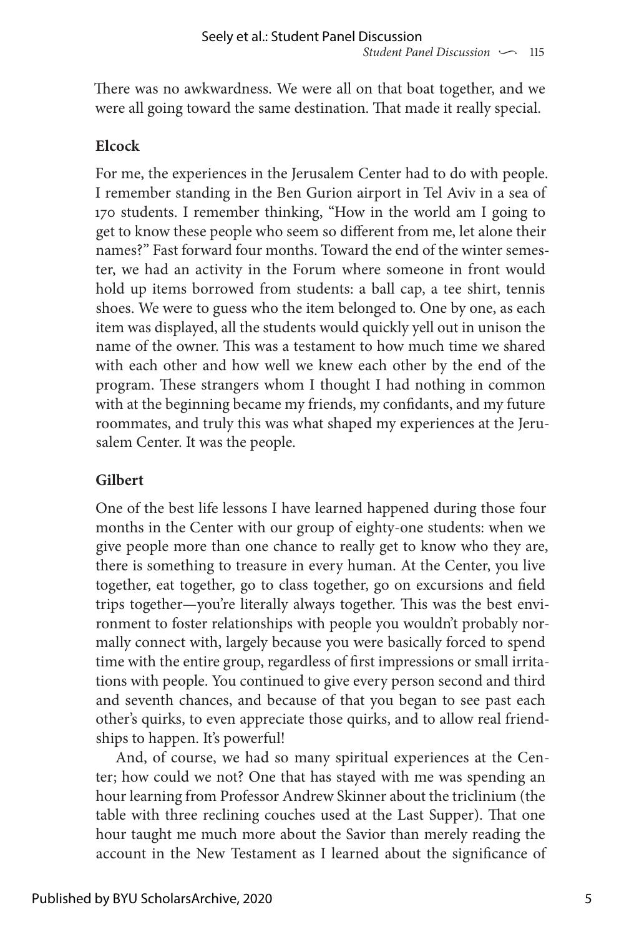There was no awkwardness. We were all on that boat together, and we were all going toward the same destination. That made it really special.

#### **Elcock**

For me, the experiences in the Jerusalem Center had to do with people. I remember standing in the Ben Gurion airport in Tel Aviv in a sea of 170 students. I remember thinking, "How in the world am I going to get to know these people who seem so different from me, let alone their names?" Fast forward four months. Toward the end of the winter semester, we had an activity in the Forum where someone in front would hold up items borrowed from students: a ball cap, a tee shirt, tennis shoes. We were to guess who the item belonged to. One by one, as each item was displayed, all the students would quickly yell out in unison the name of the owner. This was a testament to how much time we shared with each other and how well we knew each other by the end of the program. These strangers whom I thought I had nothing in common with at the beginning became my friends, my confidants, and my future roommates, and truly this was what shaped my experiences at the Jerusalem Center. It was the people.

### **Gilbert**

One of the best life lessons I have learned happened during those four months in the Center with our group of eighty-one students: when we give people more than one chance to really get to know who they are, there is something to treasure in every human. At the Center, you live together, eat together, go to class together, go on excursions and field trips together—you're literally always together. This was the best environment to foster relationships with people you wouldn't probably normally connect with, largely because you were basically forced to spend time with the entire group, regardless of first impressions or small irritations with people. You continued to give every person second and third and seventh chances, and because of that you began to see past each other's quirks, to even appreciate those quirks, and to allow real friendships to happen. It's powerful!

And, of course, we had so many spiritual experiences at the Center; how could we not? One that has stayed with me was spending an hour learning from Professor Andrew Skinner about the triclinium (the table with three reclining couches used at the Last Supper). That one hour taught me much more about the Savior than merely reading the account in the New Testament as I learned about the significance of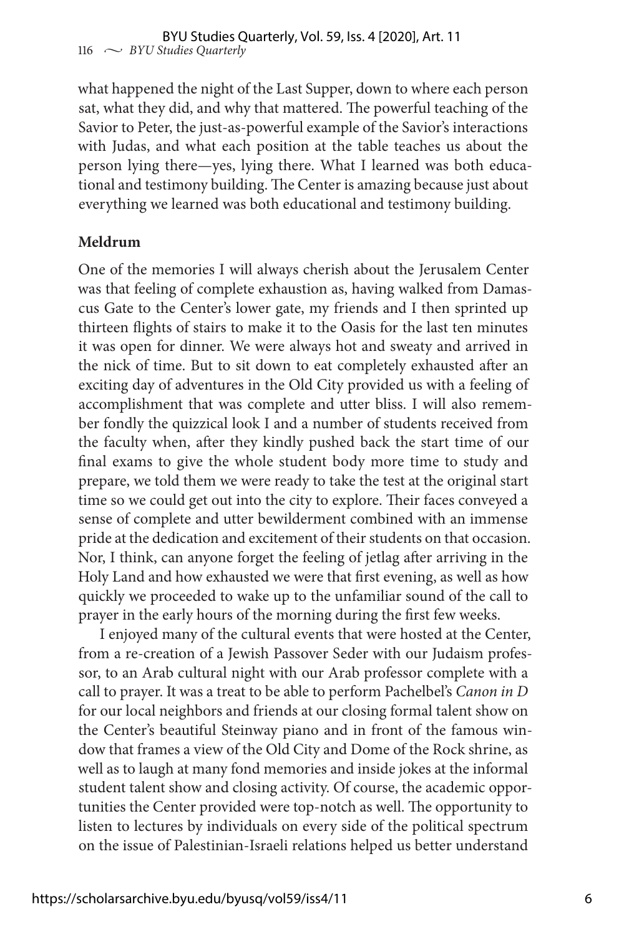what happened the night of the Last Supper, down to where each person sat, what they did, and why that mattered. The powerful teaching of the Savior to Peter, the just-as-powerful example of the Savior's interactions with Judas, and what each position at the table teaches us about the person lying there—yes, lying there. What I learned was both educational and testimony building. The Center is amazing because just about everything we learned was both educational and testimony building.

#### **Meldrum**

One of the memories I will always cherish about the Jerusalem Center was that feeling of complete exhaustion as, having walked from Damascus Gate to the Center's lower gate, my friends and I then sprinted up thirteen flights of stairs to make it to the Oasis for the last ten minutes it was open for dinner. We were always hot and sweaty and arrived in the nick of time. But to sit down to eat completely exhausted after an exciting day of adventures in the Old City provided us with a feeling of accomplishment that was complete and utter bliss. I will also remember fondly the quizzical look I and a number of students received from the faculty when, after they kindly pushed back the start time of our final exams to give the whole student body more time to study and prepare, we told them we were ready to take the test at the original start time so we could get out into the city to explore. Their faces conveyed a sense of complete and utter bewilderment combined with an immense pride at the dedication and excitement of their students on that occasion. Nor, I think, can anyone forget the feeling of jetlag after arriving in the Holy Land and how exhausted we were that first evening, as well as how quickly we proceeded to wake up to the unfamiliar sound of the call to prayer in the early hours of the morning during the first few weeks.

I enjoyed many of the cultural events that were hosted at the Center, from a re-creation of a Jewish Passover Seder with our Judaism professor, to an Arab cultural night with our Arab professor complete with a call to prayer. It was a treat to be able to perform Pachelbel's *Canon in D* for our local neighbors and friends at our closing formal talent show on the Center's beautiful Steinway piano and in front of the famous window that frames a view of the Old City and Dome of the Rock shrine, as well as to laugh at many fond memories and inside jokes at the informal student talent show and closing activity. Of course, the academic opportunities the Center provided were top-notch as well. The opportunity to listen to lectures by individuals on every side of the political spectrum on the issue of Palestinian-Israeli relations helped us better understand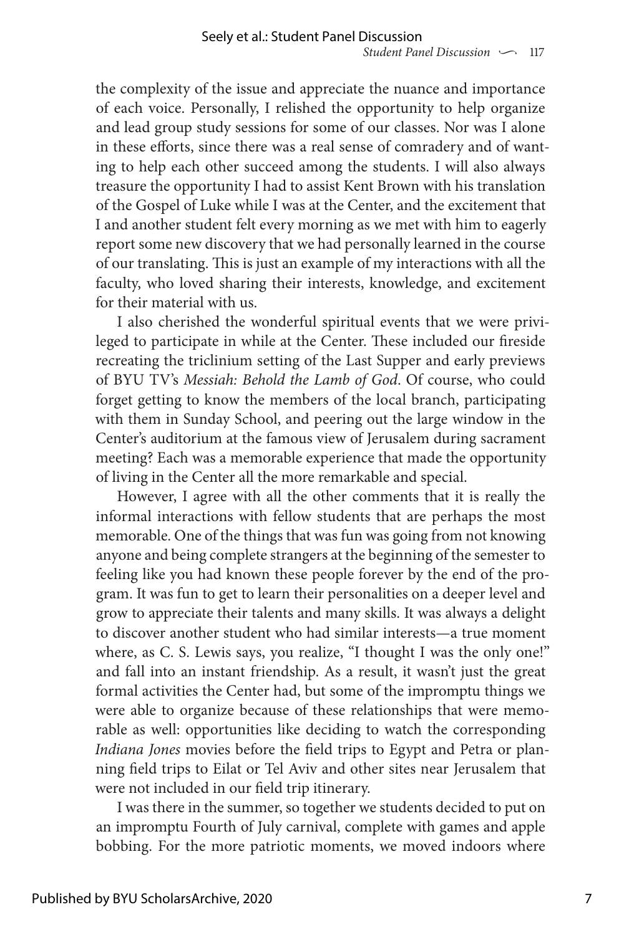the complexity of the issue and appreciate the nuance and importance of each voice. Personally, I relished the opportunity to help organize and lead group study sessions for some of our classes. Nor was I alone in these efforts, since there was a real sense of comradery and of wanting to help each other succeed among the students. I will also always treasure the opportunity I had to assist Kent Brown with his translation of the Gospel of Luke while I was at the Center, and the excitement that I and another student felt every morning as we met with him to eagerly report some new discovery that we had personally learned in the course of our translating. This is just an example of my interactions with all the faculty, who loved sharing their interests, knowledge, and excitement for their material with us.

I also cherished the wonderful spiritual events that we were privileged to participate in while at the Center. These included our fireside recreating the triclinium setting of the Last Supper and early previews of BYU TV's *Messiah: Behold the Lamb of God*. Of course, who could forget getting to know the members of the local branch, participating with them in Sunday School, and peering out the large window in the Center's auditorium at the famous view of Jerusalem during sacrament meeting? Each was a memorable experience that made the opportunity of living in the Center all the more remarkable and special.

However, I agree with all the other comments that it is really the informal interactions with fellow students that are perhaps the most memorable. One of the things that was fun was going from not knowing anyone and being complete strangers at the beginning of the semester to feeling like you had known these people forever by the end of the program. It was fun to get to learn their personalities on a deeper level and grow to appreciate their talents and many skills. It was always a delight to discover another student who had similar interests—a true moment where, as C. S. Lewis says, you realize, "I thought I was the only one!" and fall into an instant friendship. As a result, it wasn't just the great formal activities the Center had, but some of the impromptu things we were able to organize because of these relationships that were memorable as well: opportunities like deciding to watch the corresponding *Indiana Jones* movies before the field trips to Egypt and Petra or planning field trips to Eilat or Tel Aviv and other sites near Jerusalem that were not included in our field trip itinerary.

I was there in the summer, so together we students decided to put on an impromptu Fourth of July carnival, complete with games and apple bobbing. For the more patriotic moments, we moved indoors where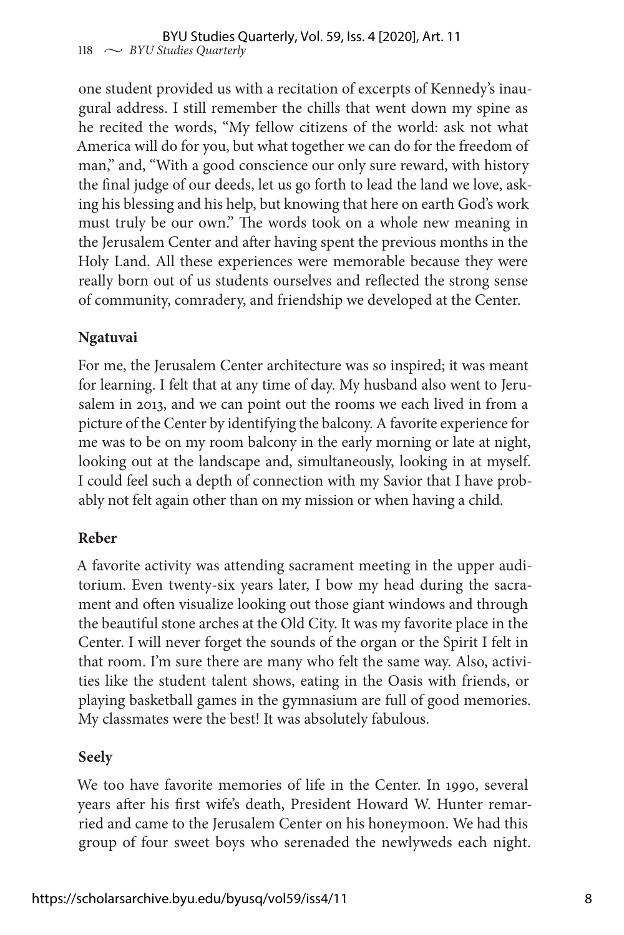one student provided us with a recitation of excerpts of Kennedy's inaugural address. I still remember the chills that went down my spine as he recited the words, "My fellow citizens of the world: ask not what America will do for you, but what together we can do for the freedom of man," and, "With a good conscience our only sure reward, with history the final judge of our deeds, let us go forth to lead the land we love, asking his blessing and his help, but knowing that here on earth God's work must truly be our own." The words took on a whole new meaning in the Jerusalem Center and after having spent the previous months in the Holy Land. All these experiences were memorable because they were really born out of us students ourselves and reflected the strong sense of community, comradery, and friendship we developed at the Center.

#### **Ngatuvai**

For me, the Jerusalem Center architecture was so inspired; it was meant for learning. I felt that at any time of day. My husband also went to Jerusalem in 2013, and we can point out the rooms we each lived in from a picture of the Center by identifying the balcony. A favorite experience for me was to be on my room balcony in the early morning or late at night, looking out at the landscape and, simultaneously, looking in at myself. I could feel such a depth of connection with my Savior that I have probably not felt again other than on my mission or when having a child.

#### **Reber**

A favorite activity was attending sacrament meeting in the upper auditorium. Even twenty-six years later, I bow my head during the sacrament and often visualize looking out those giant windows and through the beautiful stone arches at the Old City. It was my favorite place in the Center. I will never forget the sounds of the organ or the Spirit I felt in that room. I'm sure there are many who felt the same way. Also, activities like the student talent shows, eating in the Oasis with friends, or playing basketball games in the gymnasium are full of good memories. My classmates were the best! It was absolutely fabulous.

#### **Seely**

We too have favorite memories of life in the Center. In 1990, several years after his first wife's death, President Howard W. Hunter remarried and came to the Jerusalem Center on his honeymoon. We had this group of four sweet boys who serenaded the newlyweds each night.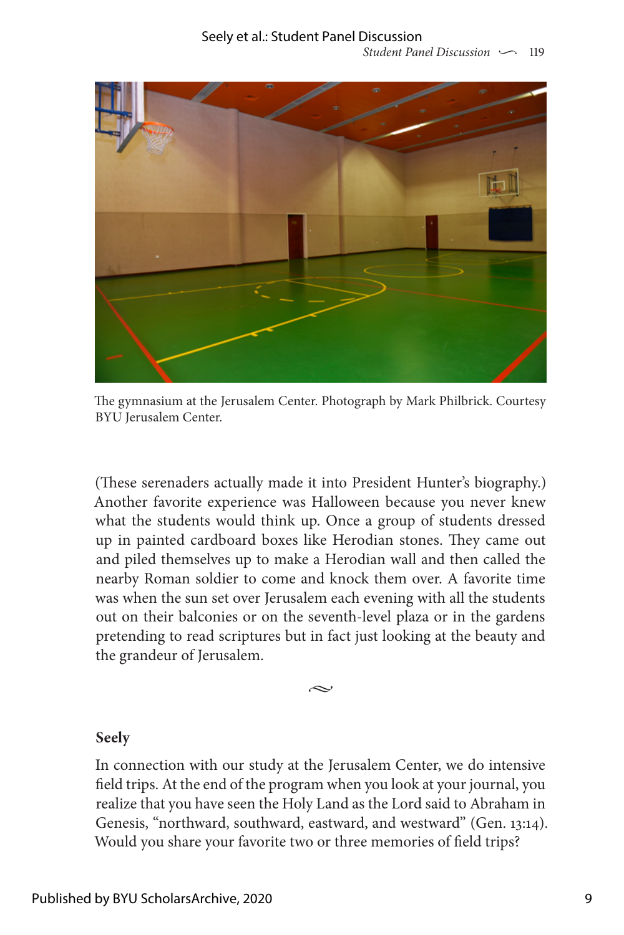

The gymnasium at the Jerusalem Center. Photograph by Mark Philbrick. Courtesy BYU Jerusalem Center.

(These serenaders actually made it into President Hunter's biography.) Another favorite experience was Halloween because you never knew what the students would think up. Once a group of students dressed up in painted cardboard boxes like Herodian stones. They came out and piled themselves up to make a Herodian wall and then called the nearby Roman soldier to come and knock them over. A favorite time was when the sun set over Jerusalem each evening with all the students out on their balconies or on the seventh-level plaza or in the gardens pretending to read scriptures but in fact just looking at the beauty and the grandeur of Jerusalem.

 $\prec$ 

#### **Seely**

In connection with our study at the Jerusalem Center, we do intensive field trips. At the end of the program when you look at your journal, you realize that you have seen the Holy Land as the Lord said to Abraham in Genesis, "northward, southward, eastward, and westward" (Gen. 13:14). Would you share your favorite two or three memories of field trips?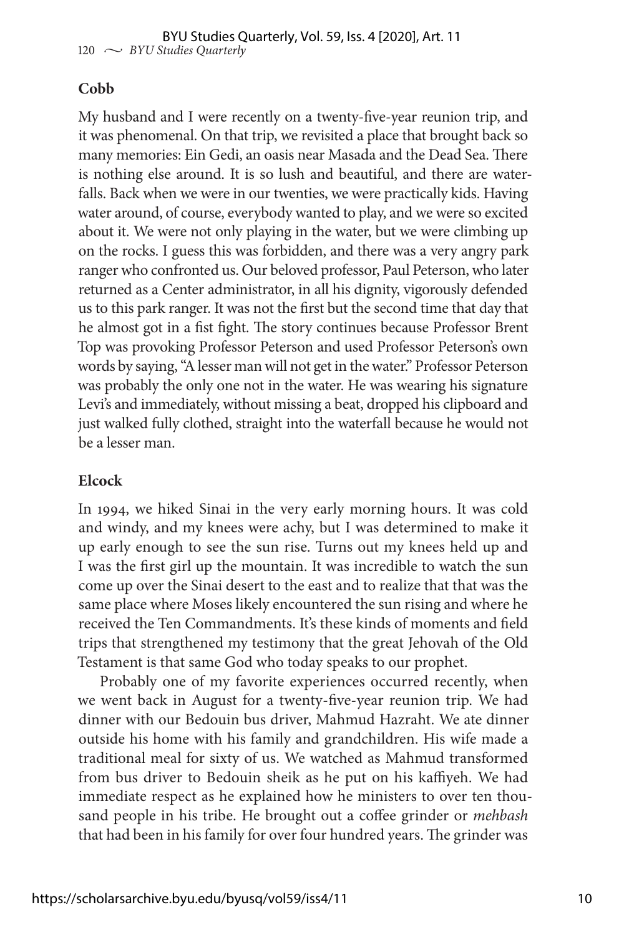#### **Cobb**

My husband and I were recently on a twenty-five-year reunion trip, and it was phenomenal. On that trip, we revisited a place that brought back so many memories: Ein Gedi, an oasis near Masada and the Dead Sea. There is nothing else around. It is so lush and beautiful, and there are waterfalls. Back when we were in our twenties, we were practically kids. Having water around, of course, everybody wanted to play, and we were so excited about it. We were not only playing in the water, but we were climbing up on the rocks. I guess this was forbidden, and there was a very angry park ranger who confronted us. Our beloved professor, Paul Peterson, who later returned as a Center administrator, in all his dignity, vigorously defended us to this park ranger. It was not the first but the second time that day that he almost got in a fist fight. The story continues because Professor Brent Top was provoking Professor Peterson and used Professor Peterson's own words by saying, "A lesser man will not get in the water." Professor Peterson was probably the only one not in the water. He was wearing his signature Levi's and immediately, without missing a beat, dropped his clipboard and just walked fully clothed, straight into the waterfall because he would not be a lesser man.

#### **Elcock**

In 1994, we hiked Sinai in the very early morning hours. It was cold and windy, and my knees were achy, but I was determined to make it up early enough to see the sun rise. Turns out my knees held up and I was the first girl up the mountain. It was incredible to watch the sun come up over the Sinai desert to the east and to realize that that was the same place where Moses likely encountered the sun rising and where he received the Ten Commandments. It's these kinds of moments and field trips that strengthened my testimony that the great Jehovah of the Old Testament is that same God who today speaks to our prophet.

Probably one of my favorite experiences occurred recently, when we went back in August for a twenty-five-year reunion trip. We had dinner with our Bedouin bus driver, Mahmud Hazraht. We ate dinner outside his home with his family and grandchildren. His wife made a traditional meal for sixty of us. We watched as Mahmud transformed from bus driver to Bedouin sheik as he put on his kaffiyeh. We had immediate respect as he explained how he ministers to over ten thousand people in his tribe. He brought out a coffee grinder or *mehbash* that had been in his family for over four hundred years. The grinder was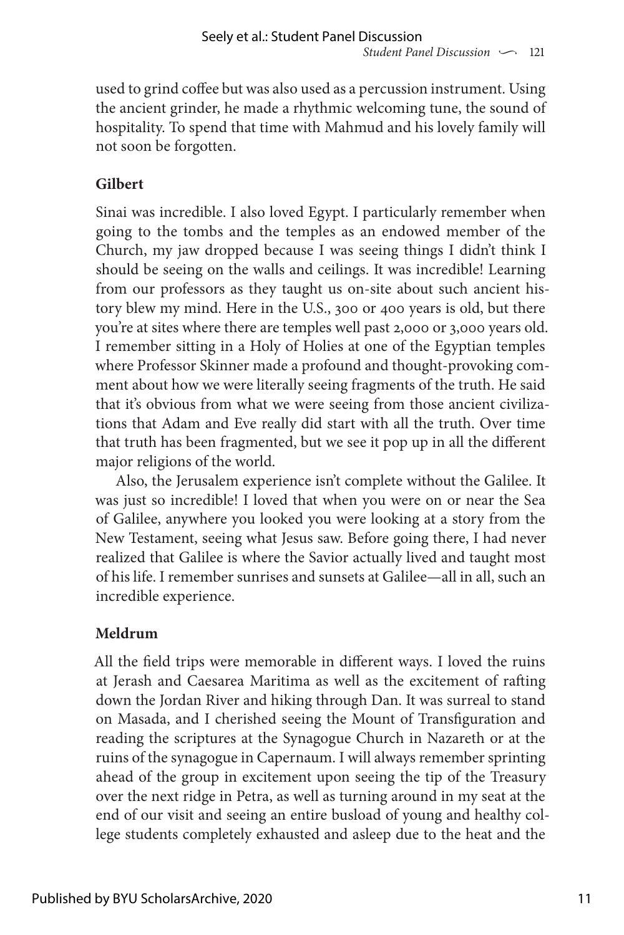used to grind coffee but was also used as a percussion instrument. Using the ancient grinder, he made a rhythmic welcoming tune, the sound of hospitality. To spend that time with Mahmud and his lovely family will not soon be forgotten.

#### **Gilbert**

Sinai was incredible. I also loved Egypt. I particularly remember when going to the tombs and the temples as an endowed member of the Church, my jaw dropped because I was seeing things I didn't think I should be seeing on the walls and ceilings. It was incredible! Learning from our professors as they taught us on-site about such ancient history blew my mind. Here in the U.S., 300 or 400 years is old, but there you're at sites where there are temples well past 2,000 or 3,000 years old. I remember sitting in a Holy of Holies at one of the Egyptian temples where Professor Skinner made a profound and thought-provoking comment about how we were literally seeing fragments of the truth. He said that it's obvious from what we were seeing from those ancient civilizations that Adam and Eve really did start with all the truth. Over time that truth has been fragmented, but we see it pop up in all the different major religions of the world.

Also, the Jerusalem experience isn't complete without the Galilee. It was just so incredible! I loved that when you were on or near the Sea of Galilee, anywhere you looked you were looking at a story from the New Testament, seeing what Jesus saw. Before going there, I had never realized that Galilee is where the Savior actually lived and taught most of his life. I remember sunrises and sunsets at Galilee—all in all, such an incredible experience.

### **Meldrum**

All the field trips were memorable in different ways. I loved the ruins at Jerash and Caesarea Maritima as well as the excitement of rafting down the Jordan River and hiking through Dan. It was surreal to stand on Masada, and I cherished seeing the Mount of Transfiguration and reading the scriptures at the Synagogue Church in Nazareth or at the ruins of the synagogue in Capernaum. I will always remember sprinting ahead of the group in excitement upon seeing the tip of the Treasury over the next ridge in Petra, as well as turning around in my seat at the end of our visit and seeing an entire busload of young and healthy college students completely exhausted and asleep due to the heat and the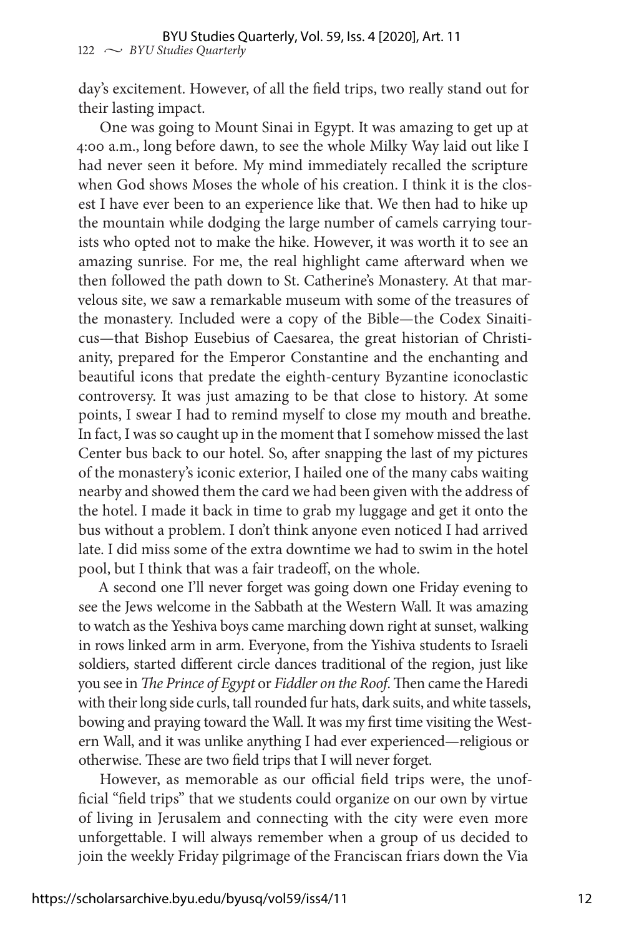day's excitement. However, of all the field trips, two really stand out for their lasting impact.

One was going to Mount Sinai in Egypt. It was amazing to get up at 4:00 a.m., long before dawn, to see the whole Milky Way laid out like I had never seen it before. My mind immediately recalled the scripture when God shows Moses the whole of his creation. I think it is the closest I have ever been to an experience like that. We then had to hike up the mountain while dodging the large number of camels carrying tourists who opted not to make the hike. However, it was worth it to see an amazing sunrise. For me, the real highlight came afterward when we then followed the path down to St. Catherine's Monastery. At that marvelous site, we saw a remarkable museum with some of the treasures of the monastery. Included were a copy of the Bible—the Codex Sinaiticus—that Bishop Eusebius of Caesarea, the great historian of Christianity, prepared for the Emperor Constantine and the enchanting and beautiful icons that predate the eighth-century Byzantine iconoclastic controversy. It was just amazing to be that close to history. At some points, I swear I had to remind myself to close my mouth and breathe. In fact, I was so caught up in the moment that I somehow missed the last Center bus back to our hotel. So, after snapping the last of my pictures of the monastery's iconic exterior, I hailed one of the many cabs waiting nearby and showed them the card we had been given with the address of the hotel. I made it back in time to grab my luggage and get it onto the bus without a problem. I don't think anyone even noticed I had arrived late. I did miss some of the extra downtime we had to swim in the hotel pool, but I think that was a fair tradeoff, on the whole.

A second one I'll never forget was going down one Friday evening to see the Jews welcome in the Sabbath at the Western Wall. It was amazing to watch as the Yeshiva boys came marching down right at sunset, walking in rows linked arm in arm. Everyone, from the Yishiva students to Israeli soldiers, started different circle dances traditional of the region, just like you see in *The Prince of Egypt* or *Fiddler on the Roof*. Then came the Haredi with their long side curls, tall rounded fur hats, dark suits, and white tassels, bowing and praying toward the Wall. It was my first time visiting the Western Wall, and it was unlike anything I had ever experienced—religious or otherwise. These are two field trips that I will never forget.

However, as memorable as our official field trips were, the unofficial "field trips" that we students could organize on our own by virtue of living in Jerusalem and connecting with the city were even more unforgettable. I will always remember when a group of us decided to join the weekly Friday pilgrimage of the Franciscan friars down the Via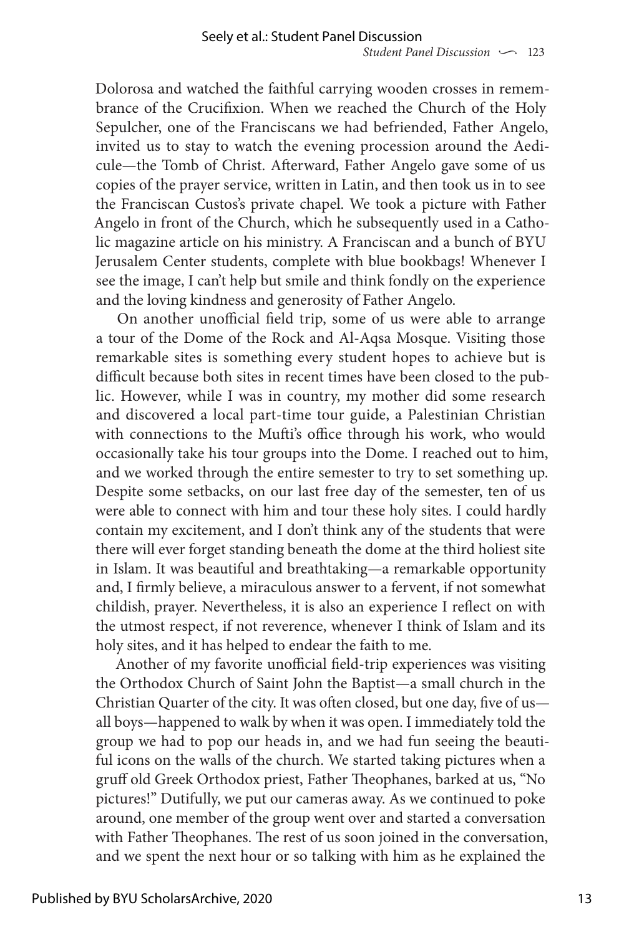Dolorosa and watched the faithful carrying wooden crosses in remembrance of the Crucifixion. When we reached the Church of the Holy Sepulcher, one of the Franciscans we had befriended, Father Angelo, invited us to stay to watch the evening procession around the Aedicule—the Tomb of Christ. Afterward, Father Angelo gave some of us copies of the prayer service, written in Latin, and then took us in to see the Franciscan Custos's private chapel. We took a picture with Father Angelo in front of the Church, which he subsequently used in a Catholic magazine article on his ministry. A Franciscan and a bunch of BYU Jerusalem Center students, complete with blue bookbags! Whenever I see the image, I can't help but smile and think fondly on the experience and the loving kindness and generosity of Father Angelo.

On another unofficial field trip, some of us were able to arrange a tour of the Dome of the Rock and Al-Aqsa Mosque. Visiting those remarkable sites is something every student hopes to achieve but is difficult because both sites in recent times have been closed to the public. However, while I was in country, my mother did some research and discovered a local part-time tour guide, a Palestinian Christian with connections to the Mufti's office through his work, who would occasionally take his tour groups into the Dome. I reached out to him, and we worked through the entire semester to try to set something up. Despite some setbacks, on our last free day of the semester, ten of us were able to connect with him and tour these holy sites. I could hardly contain my excitement, and I don't think any of the students that were there will ever forget standing beneath the dome at the third holiest site in Islam. It was beautiful and breathtaking—a remarkable opportunity and, I firmly believe, a miraculous answer to a fervent, if not somewhat childish, prayer. Nevertheless, it is also an experience I reflect on with the utmost respect, if not reverence, whenever I think of Islam and its holy sites, and it has helped to endear the faith to me.

Another of my favorite unofficial field-trip experiences was visiting the Orthodox Church of Saint John the Baptist—a small church in the Christian Quarter of the city. It was often closed, but one day, five of us all boys—happened to walk by when it was open. I immediately told the group we had to pop our heads in, and we had fun seeing the beautiful icons on the walls of the church. We started taking pictures when a gruff old Greek Orthodox priest, Father Theophanes, barked at us, "No pictures!" Dutifully, we put our cameras away. As we continued to poke around, one member of the group went over and started a conversation with Father Theophanes. The rest of us soon joined in the conversation, and we spent the next hour or so talking with him as he explained the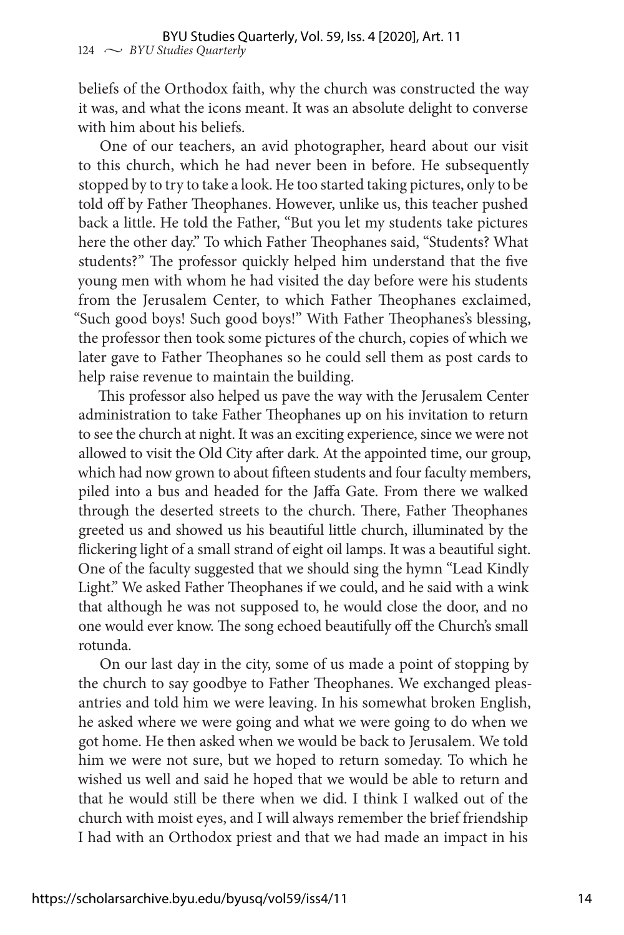beliefs of the Orthodox faith, why the church was constructed the way it was, and what the icons meant. It was an absolute delight to converse with him about his beliefs.

One of our teachers, an avid photographer, heard about our visit to this church, which he had never been in before. He subsequently stopped by to try to take a look. He too started taking pictures, only to be told off by Father Theophanes. However, unlike us, this teacher pushed back a little. He told the Father, "But you let my students take pictures here the other day." To which Father Theophanes said, "Students? What students?" The professor quickly helped him understand that the five young men with whom he had visited the day before were his students from the Jerusalem Center, to which Father Theophanes exclaimed, "Such good boys! Such good boys!" With Father Theophanes's blessing, the professor then took some pictures of the church, copies of which we later gave to Father Theophanes so he could sell them as post cards to help raise revenue to maintain the building.

This professor also helped us pave the way with the Jerusalem Center administration to take Father Theophanes up on his invitation to return to see the church at night. It was an exciting experience, since we were not allowed to visit the Old City after dark. At the appointed time, our group, which had now grown to about fifteen students and four faculty members, piled into a bus and headed for the Jaffa Gate. From there we walked through the deserted streets to the church. There, Father Theophanes greeted us and showed us his beautiful little church, illuminated by the flickering light of a small strand of eight oil lamps. It was a beautiful sight. One of the faculty suggested that we should sing the hymn "Lead Kindly Light." We asked Father Theophanes if we could, and he said with a wink that although he was not supposed to, he would close the door, and no one would ever know. The song echoed beautifully off the Church's small rotunda.

On our last day in the city, some of us made a point of stopping by the church to say goodbye to Father Theophanes. We exchanged pleasantries and told him we were leaving. In his somewhat broken English, he asked where we were going and what we were going to do when we got home. He then asked when we would be back to Jerusalem. We told him we were not sure, but we hoped to return someday. To which he wished us well and said he hoped that we would be able to return and that he would still be there when we did. I think I walked out of the church with moist eyes, and I will always remember the brief friendship I had with an Orthodox priest and that we had made an impact in his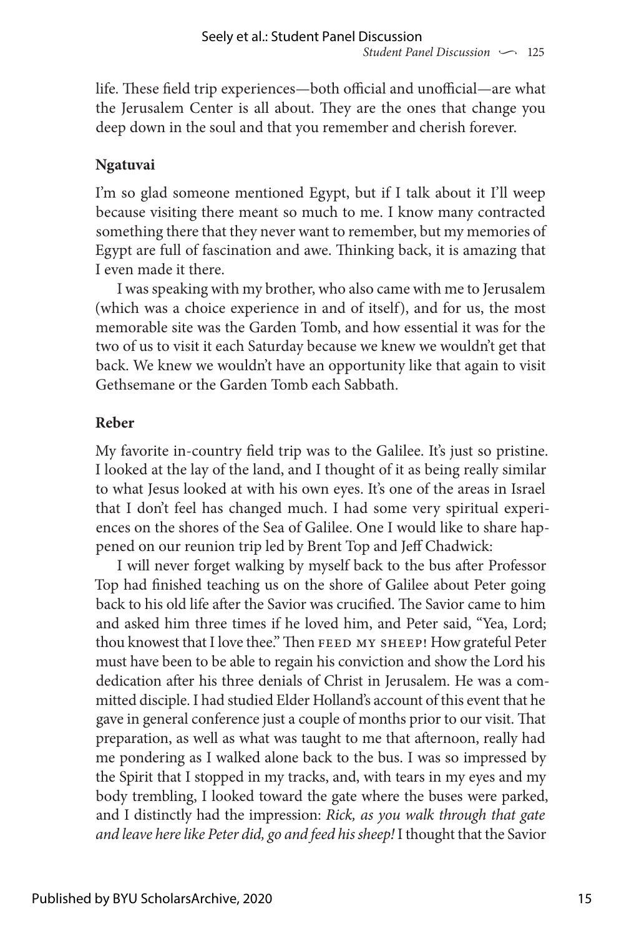life. These field trip experiences—both official and unofficial—are what the Jerusalem Center is all about. They are the ones that change you deep down in the soul and that you remember and cherish forever.

## **Ngatuvai**

I'm so glad someone mentioned Egypt, but if I talk about it I'll weep because visiting there meant so much to me. I know many contracted something there that they never want to remember, but my memories of Egypt are full of fascination and awe. Thinking back, it is amazing that I even made it there.

I was speaking with my brother, who also came with me to Jerusalem (which was a choice experience in and of itself), and for us, the most memorable site was the Garden Tomb, and how essential it was for the two of us to visit it each Saturday because we knew we wouldn't get that back. We knew we wouldn't have an opportunity like that again to visit Gethsemane or the Garden Tomb each Sabbath.

#### **Reber**

My favorite in-country field trip was to the Galilee. It's just so pristine. I looked at the lay of the land, and I thought of it as being really similar to what Jesus looked at with his own eyes. It's one of the areas in Israel that I don't feel has changed much. I had some very spiritual experiences on the shores of the Sea of Galilee. One I would like to share happened on our reunion trip led by Brent Top and Jeff Chadwick:

I will never forget walking by myself back to the bus after Professor Top had finished teaching us on the shore of Galilee about Peter going back to his old life after the Savior was crucified. The Savior came to him and asked him three times if he loved him, and Peter said, "Yea, Lord; thou knowest that I love thee." Then FEED MY SHEEP! How grateful Peter must have been to be able to regain his conviction and show the Lord his dedication after his three denials of Christ in Jerusalem. He was a committed disciple. I had studied Elder Holland's account of this event that he gave in general conference just a couple of months prior to our visit. That preparation, as well as what was taught to me that afternoon, really had me pondering as I walked alone back to the bus. I was so impressed by the Spirit that I stopped in my tracks, and, with tears in my eyes and my body trembling, I looked toward the gate where the buses were parked, and I distinctly had the impression: *Rick, as you walk through that gate and leave here like Peter did, go and feed his sheep!* I thought that the Savior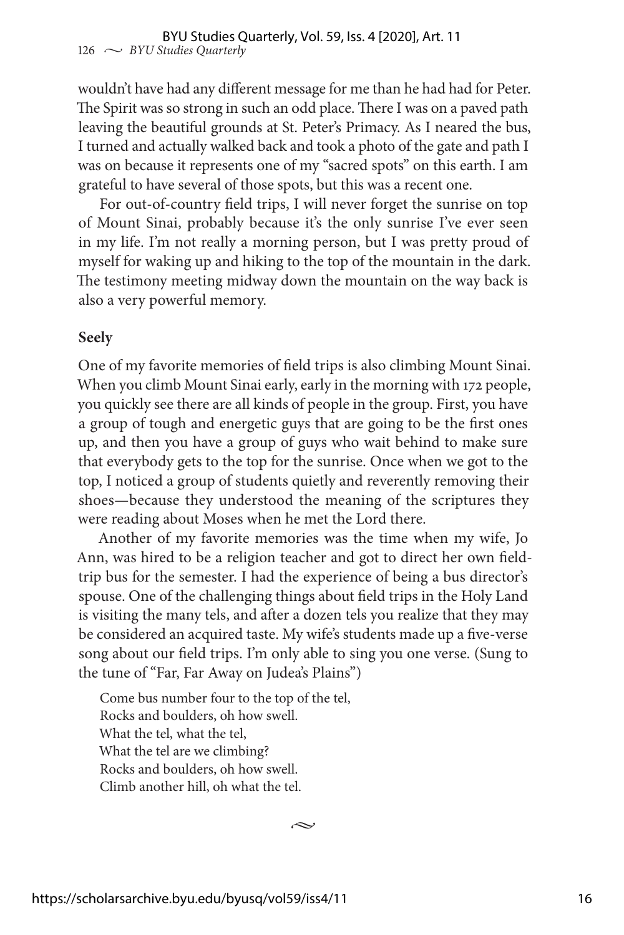wouldn't have had any different message for me than he had had for Peter. The Spirit was so strong in such an odd place. There I was on a paved path leaving the beautiful grounds at St. Peter's Primacy. As I neared the bus, I turned and actually walked back and took a photo of the gate and path I was on because it represents one of my "sacred spots" on this earth. I am grateful to have several of those spots, but this was a recent one.

For out-of-country field trips, I will never forget the sunrise on top of Mount Sinai, probably because it's the only sunrise I've ever seen in my life. I'm not really a morning person, but I was pretty proud of myself for waking up and hiking to the top of the mountain in the dark. The testimony meeting midway down the mountain on the way back is also a very powerful memory.

#### **Seely**

One of my favorite memories of field trips is also climbing Mount Sinai. When you climb Mount Sinai early, early in the morning with 172 people, you quickly see there are all kinds of people in the group. First, you have a group of tough and energetic guys that are going to be the first ones up, and then you have a group of guys who wait behind to make sure that everybody gets to the top for the sunrise. Once when we got to the top, I noticed a group of students quietly and reverently removing their shoes—because they understood the meaning of the scriptures they were reading about Moses when he met the Lord there.

Another of my favorite memories was the time when my wife, Jo Ann, was hired to be a religion teacher and got to direct her own fieldtrip bus for the semester. I had the experience of being a bus director's spouse. One of the challenging things about field trips in the Holy Land is visiting the many tels, and after a dozen tels you realize that they may be considered an acquired taste. My wife's students made up a five-verse song about our field trips. I'm only able to sing you one verse. (Sung to the tune of "Far, Far Away on Judea's Plains")

Come bus number four to the top of the tel, Rocks and boulders, oh how swell. What the tel, what the tel, What the tel are we climbing? Rocks and boulders, oh how swell. Climb another hill, oh what the tel.

 $\sim$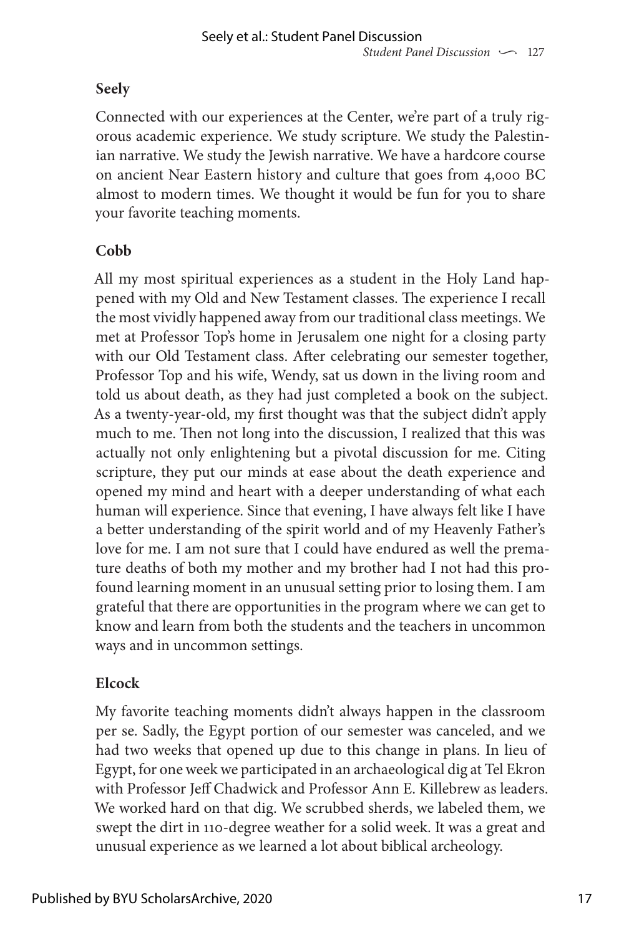# **Seely**

Connected with our experiences at the Center, we're part of a truly rigorous academic experience. We study scripture. We study the Palestinian narrative. We study the Jewish narrative. We have a hardcore course on ancient Near Eastern history and culture that goes from 4,000 BC almost to modern times. We thought it would be fun for you to share your favorite teaching moments.

# **Cobb**

All my most spiritual experiences as a student in the Holy Land happened with my Old and New Testament classes. The experience I recall the most vividly happened away from our traditional class meetings. We met at Professor Top's home in Jerusalem one night for a closing party with our Old Testament class. After celebrating our semester together, Professor Top and his wife, Wendy, sat us down in the living room and told us about death, as they had just completed a book on the subject. As a twenty-year-old, my first thought was that the subject didn't apply much to me. Then not long into the discussion, I realized that this was actually not only enlightening but a pivotal discussion for me. Citing scripture, they put our minds at ease about the death experience and opened my mind and heart with a deeper understanding of what each human will experience. Since that evening, I have always felt like I have a better understanding of the spirit world and of my Heavenly Father's love for me. I am not sure that I could have endured as well the premature deaths of both my mother and my brother had I not had this profound learning moment in an unusual setting prior to losing them. I am grateful that there are opportunities in the program where we can get to know and learn from both the students and the teachers in uncommon ways and in uncommon settings.

# **Elcock**

My favorite teaching moments didn't always happen in the classroom per se. Sadly, the Egypt portion of our semester was canceled, and we had two weeks that opened up due to this change in plans. In lieu of Egypt, for one week we participated in an archaeological dig at Tel Ekron with Professor Jeff Chadwick and Professor Ann E. Killebrew as leaders. We worked hard on that dig. We scrubbed sherds, we labeled them, we swept the dirt in 110-degree weather for a solid week. It was a great and unusual experience as we learned a lot about biblical archeology.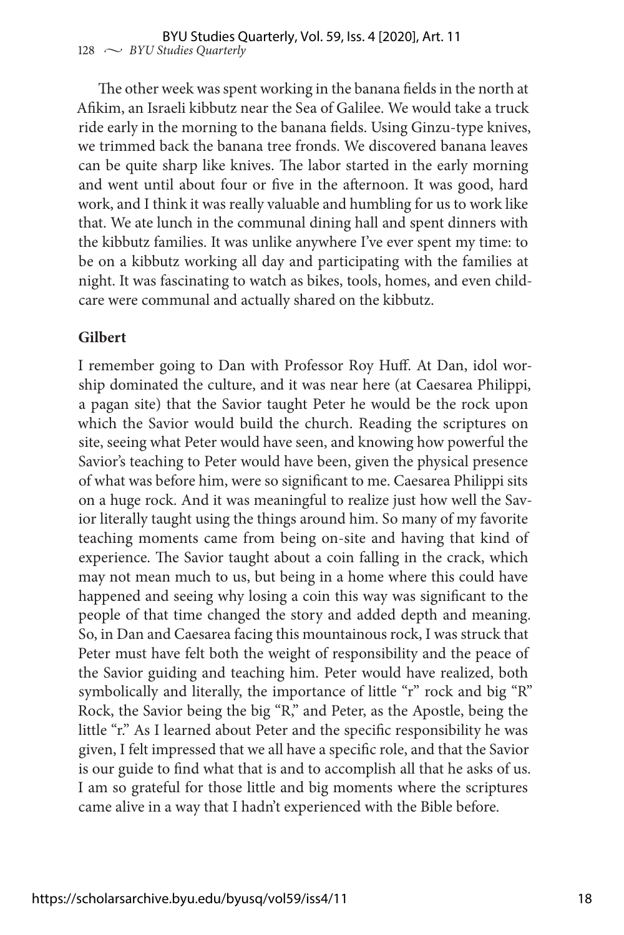The other week was spent working in the banana fields in the north at Afikim, an Israeli kibbutz near the Sea of Galilee. We would take a truck ride early in the morning to the banana fields. Using Ginzu-type knives, we trimmed back the banana tree fronds. We discovered banana leaves can be quite sharp like knives. The labor started in the early morning and went until about four or five in the afternoon. It was good, hard work, and I think it was really valuable and humbling for us to work like that. We ate lunch in the communal dining hall and spent dinners with the kibbutz families. It was unlike anywhere I've ever spent my time: to be on a kibbutz working all day and participating with the families at night. It was fascinating to watch as bikes, tools, homes, and even childcare were communal and actually shared on the kibbutz.

#### **Gilbert**

I remember going to Dan with Professor Roy Huff. At Dan, idol worship dominated the culture, and it was near here (at Caesarea Philippi, a pagan site) that the Savior taught Peter he would be the rock upon which the Savior would build the church. Reading the scriptures on site, seeing what Peter would have seen, and knowing how powerful the Savior's teaching to Peter would have been, given the physical presence of what was before him, were so significant to me. Caesarea Philippi sits on a huge rock. And it was meaningful to realize just how well the Savior literally taught using the things around him. So many of my favorite teaching moments came from being on-site and having that kind of experience. The Savior taught about a coin falling in the crack, which may not mean much to us, but being in a home where this could have happened and seeing why losing a coin this way was significant to the people of that time changed the story and added depth and meaning. So, in Dan and Caesarea facing this mountainous rock, I was struck that Peter must have felt both the weight of responsibility and the peace of the Savior guiding and teaching him. Peter would have realized, both symbolically and literally, the importance of little "r" rock and big "R" Rock, the Savior being the big "R," and Peter, as the Apostle, being the little "r." As I learned about Peter and the specific responsibility he was given, I felt impressed that we all have a specific role, and that the Savior is our guide to find what that is and to accomplish all that he asks of us. I am so grateful for those little and big moments where the scriptures came alive in a way that I hadn't experienced with the Bible before.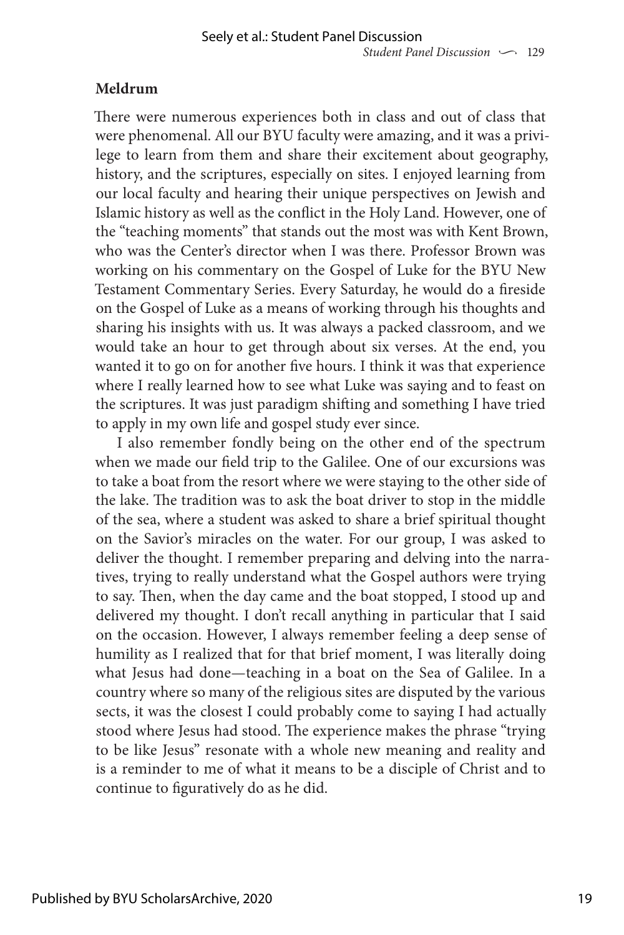## **Meldrum**

There were numerous experiences both in class and out of class that were phenomenal. All our BYU faculty were amazing, and it was a privilege to learn from them and share their excitement about geography, history, and the scriptures, especially on sites. I enjoyed learning from our local faculty and hearing their unique perspectives on Jewish and Islamic history as well as the conflict in the Holy Land. However, one of the "teaching moments" that stands out the most was with Kent Brown, who was the Center's director when I was there. Professor Brown was working on his commentary on the Gospel of Luke for the BYU New Testament Commentary Series. Every Saturday, he would do a fireside on the Gospel of Luke as a means of working through his thoughts and sharing his insights with us. It was always a packed classroom, and we would take an hour to get through about six verses. At the end, you wanted it to go on for another five hours. I think it was that experience where I really learned how to see what Luke was saying and to feast on the scriptures. It was just paradigm shifting and something I have tried to apply in my own life and gospel study ever since.

I also remember fondly being on the other end of the spectrum when we made our field trip to the Galilee. One of our excursions was to take a boat from the resort where we were staying to the other side of the lake. The tradition was to ask the boat driver to stop in the middle of the sea, where a student was asked to share a brief spiritual thought on the Savior's miracles on the water. For our group, I was asked to deliver the thought. I remember preparing and delving into the narratives, trying to really understand what the Gospel authors were trying to say. Then, when the day came and the boat stopped, I stood up and delivered my thought. I don't recall anything in particular that I said on the occasion. However, I always remember feeling a deep sense of humility as I realized that for that brief moment, I was literally doing what Jesus had done—teaching in a boat on the Sea of Galilee. In a country where so many of the religious sites are disputed by the various sects, it was the closest I could probably come to saying I had actually stood where Jesus had stood. The experience makes the phrase "trying to be like Jesus" resonate with a whole new meaning and reality and is a reminder to me of what it means to be a disciple of Christ and to continue to figuratively do as he did.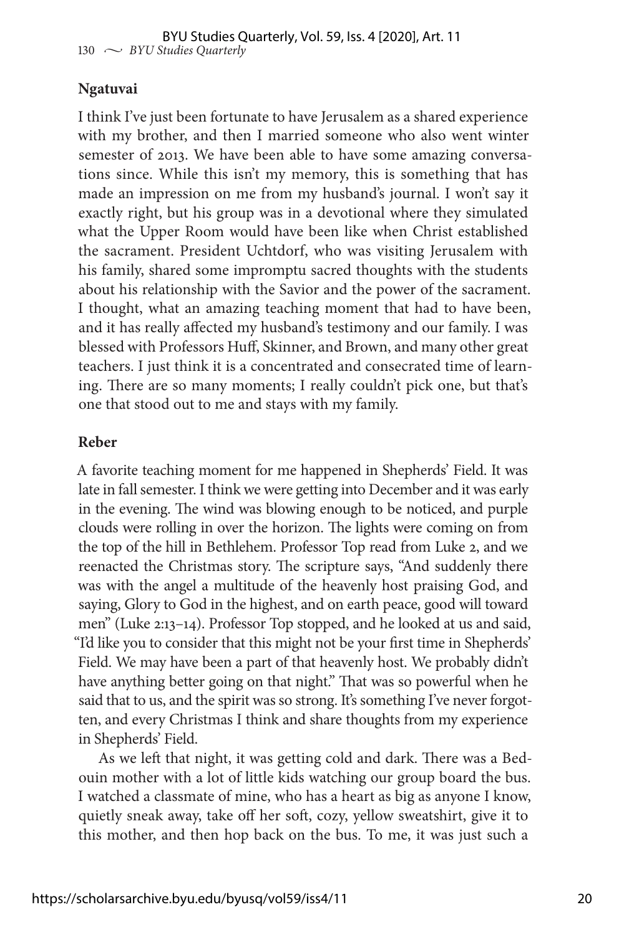#### **Ngatuvai**

I think I've just been fortunate to have Jerusalem as a shared experience with my brother, and then I married someone who also went winter semester of 2013. We have been able to have some amazing conversations since. While this isn't my memory, this is something that has made an impression on me from my husband's journal. I won't say it exactly right, but his group was in a devotional where they simulated what the Upper Room would have been like when Christ established the sacrament. President Uchtdorf, who was visiting Jerusalem with his family, shared some impromptu sacred thoughts with the students about his relationship with the Savior and the power of the sacrament. I thought, what an amazing teaching moment that had to have been, and it has really affected my husband's testimony and our family. I was blessed with Professors Huff, Skinner, and Brown, and many other great teachers. I just think it is a concentrated and consecrated time of learning. There are so many moments; I really couldn't pick one, but that's one that stood out to me and stays with my family.

#### **Reber**

A favorite teaching moment for me happened in Shepherds' Field. It was late in fall semester. I think we were getting into December and it was early in the evening. The wind was blowing enough to be noticed, and purple clouds were rolling in over the horizon. The lights were coming on from the top of the hill in Bethlehem. Professor Top read from Luke 2, and we reenacted the Christmas story. The scripture says, "And suddenly there was with the angel a multitude of the heavenly host praising God, and saying, Glory to God in the highest, and on earth peace, good will toward men" (Luke 2:13–14). Professor Top stopped, and he looked at us and said, "I'd like you to consider that this might not be your first time in Shepherds' Field. We may have been a part of that heavenly host. We probably didn't have anything better going on that night." That was so powerful when he said that to us, and the spirit was so strong. It's something I've never forgotten, and every Christmas I think and share thoughts from my experience in Shepherds' Field.

As we left that night, it was getting cold and dark. There was a Bedouin mother with a lot of little kids watching our group board the bus. I watched a classmate of mine, who has a heart as big as anyone I know, quietly sneak away, take off her soft, cozy, yellow sweatshirt, give it to this mother, and then hop back on the bus. To me, it was just such a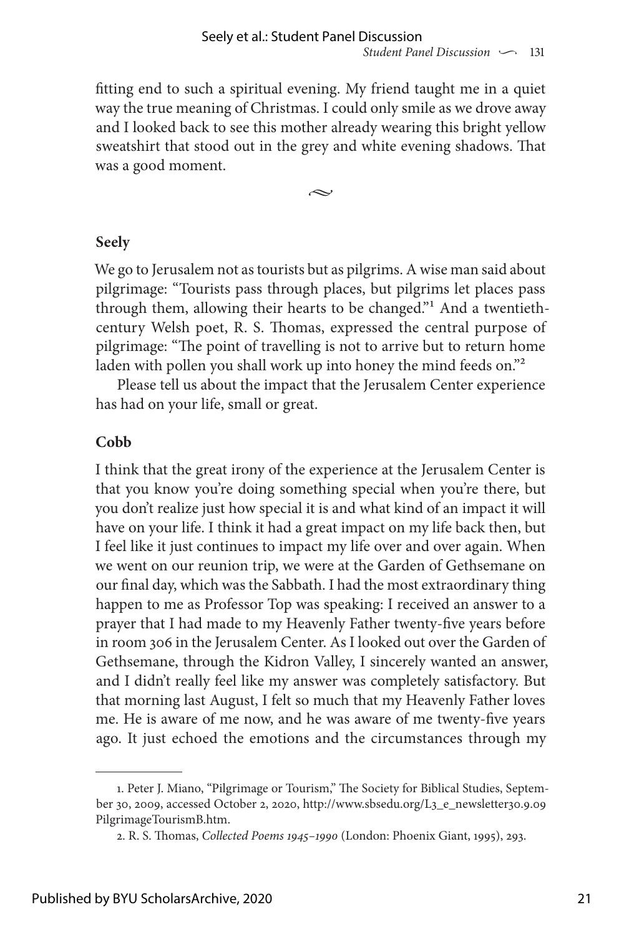fitting end to such a spiritual evening. My friend taught me in a quiet way the true meaning of Christmas. I could only smile as we drove away and I looked back to see this mother already wearing this bright yellow sweatshirt that stood out in the grey and white evening shadows. That was a good moment.

 $\approx$ 

#### **Seely**

We go to Jerusalem not as tourists but as pilgrims. A wise man said about pilgrimage: "Tourists pass through places, but pilgrims let places pass through them, allowing their hearts to be changed."1 And a twentiethcentury Welsh poet, R. S. Thomas, expressed the central purpose of pilgrimage: "The point of travelling is not to arrive but to return home laden with pollen you shall work up into honey the mind feeds on."<sup>2</sup>

Please tell us about the impact that the Jerusalem Center experience has had on your life, small or great.

#### **Cobb**

I think that the great irony of the experience at the Jerusalem Center is that you know you're doing something special when you're there, but you don't realize just how special it is and what kind of an impact it will have on your life. I think it had a great impact on my life back then, but I feel like it just continues to impact my life over and over again. When we went on our reunion trip, we were at the Garden of Gethsemane on our final day, which was the Sabbath. I had the most extraordinary thing happen to me as Professor Top was speaking: I received an answer to a prayer that I had made to my Heavenly Father twenty-five years before in room 306 in the Jerusalem Center. As I looked out over the Garden of Gethsemane, through the Kidron Valley, I sincerely wanted an answer, and I didn't really feel like my answer was completely satisfactory. But that morning last August, I felt so much that my Heavenly Father loves me. He is aware of me now, and he was aware of me twenty-five years ago. It just echoed the emotions and the circumstances through my

<sup>1.</sup> Peter J. Miano, "Pilgrimage or Tourism," The Society for Biblical Studies, September 30, 2009, accessed October 2, 2020, http://www.sbsedu.org/L3\_e\_newsletter30.9.09 PilgrimageTourismB.htm.

<sup>2.</sup> R. S. Thomas, *Collected Poems 1945–1990* (London: Phoenix Giant, 1995), 293.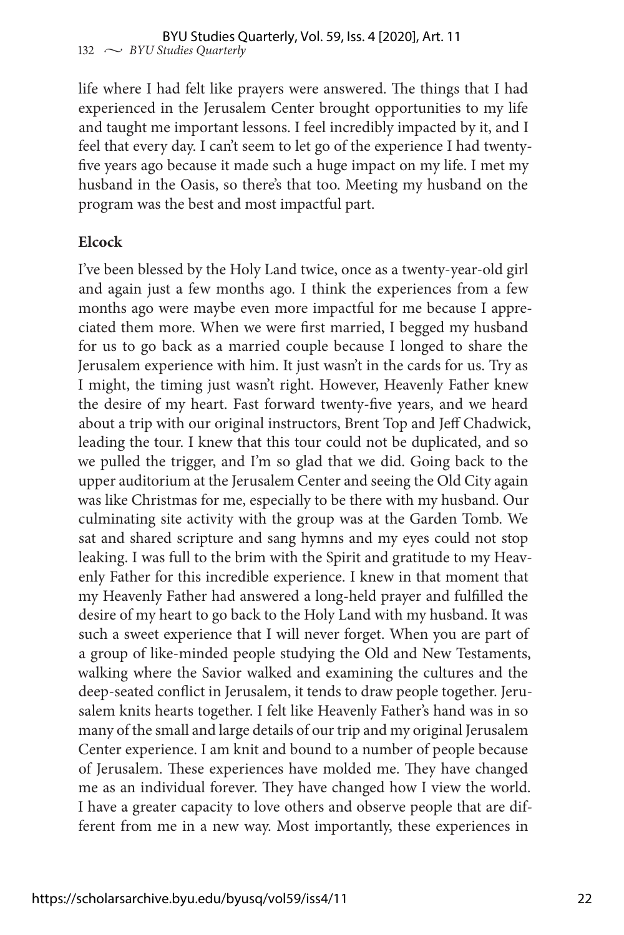life where I had felt like prayers were answered. The things that I had experienced in the Jerusalem Center brought opportunities to my life and taught me important lessons. I feel incredibly impacted by it, and I feel that every day. I can't seem to let go of the experience I had twentyfive years ago because it made such a huge impact on my life. I met my husband in the Oasis, so there's that too. Meeting my husband on the program was the best and most impactful part.

#### **Elcock**

I've been blessed by the Holy Land twice, once as a twenty-year-old girl and again just a few months ago. I think the experiences from a few months ago were maybe even more impactful for me because I appreciated them more. When we were first married, I begged my husband for us to go back as a married couple because I longed to share the Jerusalem experience with him. It just wasn't in the cards for us. Try as I might, the timing just wasn't right. However, Heavenly Father knew the desire of my heart. Fast forward twenty-five years, and we heard about a trip with our original instructors, Brent Top and Jeff Chadwick, leading the tour. I knew that this tour could not be duplicated, and so we pulled the trigger, and I'm so glad that we did. Going back to the upper auditorium at the Jerusalem Center and seeing the Old City again was like Christmas for me, especially to be there with my husband. Our culminating site activity with the group was at the Garden Tomb. We sat and shared scripture and sang hymns and my eyes could not stop leaking. I was full to the brim with the Spirit and gratitude to my Heavenly Father for this incredible experience. I knew in that moment that my Heavenly Father had answered a long-held prayer and fulfilled the desire of my heart to go back to the Holy Land with my husband. It was such a sweet experience that I will never forget. When you are part of a group of like-minded people studying the Old and New Testaments, walking where the Savior walked and examining the cultures and the deep-seated conflict in Jerusalem, it tends to draw people together. Jerusalem knits hearts together. I felt like Heavenly Father's hand was in so many of the small and large details of our trip and my original Jerusalem Center experience. I am knit and bound to a number of people because of Jerusalem. These experiences have molded me. They have changed me as an individual forever. They have changed how I view the world. I have a greater capacity to love others and observe people that are different from me in a new way. Most importantly, these experiences in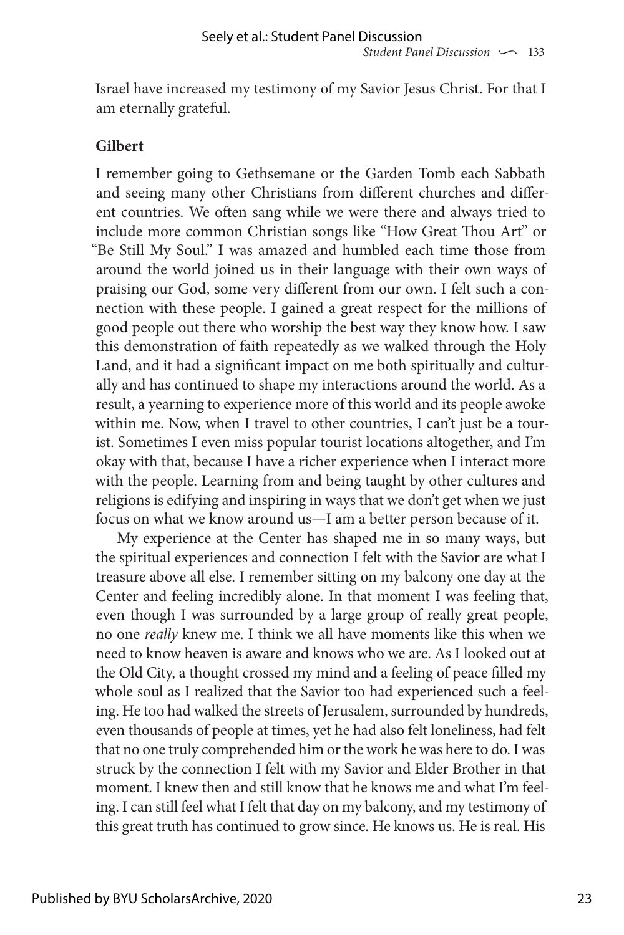Israel have increased my testimony of my Savior Jesus Christ. For that I am eternally grateful.

#### **Gilbert**

I remember going to Gethsemane or the Garden Tomb each Sabbath and seeing many other Christians from different churches and different countries. We often sang while we were there and always tried to include more common Christian songs like "How Great Thou Art" or "Be Still My Soul." I was amazed and humbled each time those from around the world joined us in their language with their own ways of praising our God, some very different from our own. I felt such a connection with these people. I gained a great respect for the millions of good people out there who worship the best way they know how. I saw this demonstration of faith repeatedly as we walked through the Holy Land, and it had a significant impact on me both spiritually and culturally and has continued to shape my interactions around the world. As a result, a yearning to experience more of this world and its people awoke within me. Now, when I travel to other countries, I can't just be a tourist. Sometimes I even miss popular tourist locations altogether, and I'm okay with that, because I have a richer experience when I interact more with the people. Learning from and being taught by other cultures and religions is edifying and inspiring in ways that we don't get when we just focus on what we know around us—I am a better person because of it.

My experience at the Center has shaped me in so many ways, but the spiritual experiences and connection I felt with the Savior are what I treasure above all else. I remember sitting on my balcony one day at the Center and feeling incredibly alone. In that moment I was feeling that, even though I was surrounded by a large group of really great people, no one *really* knew me. I think we all have moments like this when we need to know heaven is aware and knows who we are. As I looked out at the Old City, a thought crossed my mind and a feeling of peace filled my whole soul as I realized that the Savior too had experienced such a feeling. He too had walked the streets of Jerusalem, surrounded by hundreds, even thousands of people at times, yet he had also felt loneliness, had felt that no one truly comprehended him or the work he was here to do. I was struck by the connection I felt with my Savior and Elder Brother in that moment. I knew then and still know that he knows me and what I'm feeling. I can still feel what I felt that day on my balcony, and my testimony of this great truth has continued to grow since. He knows us. He is real. His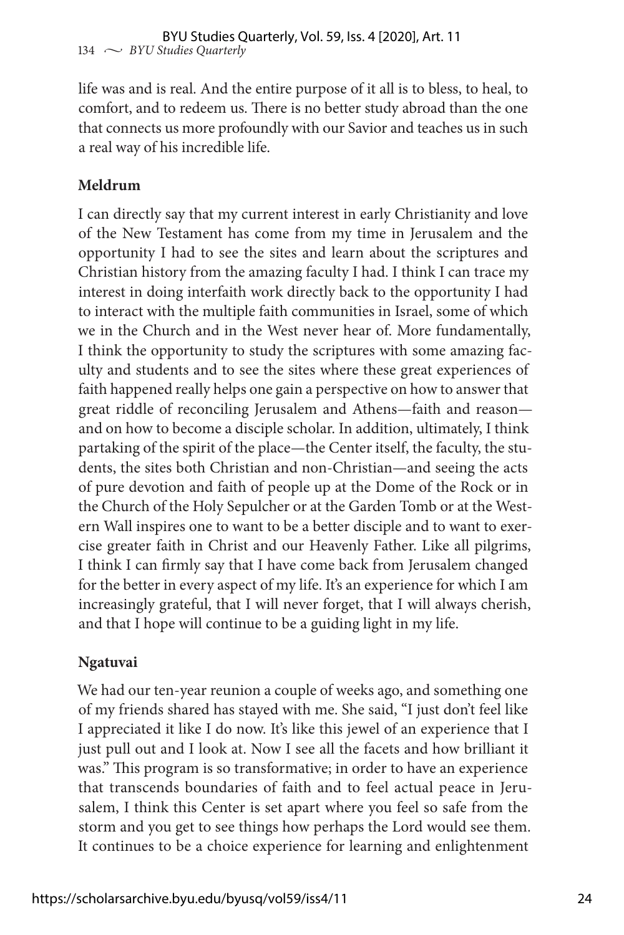life was and is real. And the entire purpose of it all is to bless, to heal, to comfort, and to redeem us. There is no better study abroad than the one that connects us more profoundly with our Savior and teaches us in such a real way of his incredible life.

### **Meldrum**

I can directly say that my current interest in early Christianity and love of the New Testament has come from my time in Jerusalem and the opportunity I had to see the sites and learn about the scriptures and Christian history from the amazing faculty I had. I think I can trace my interest in doing interfaith work directly back to the opportunity I had to interact with the multiple faith communities in Israel, some of which we in the Church and in the West never hear of. More fundamentally, I think the opportunity to study the scriptures with some amazing faculty and students and to see the sites where these great experiences of faith happened really helps one gain a perspective on how to answer that great riddle of reconciling Jerusalem and Athens—faith and reason and on how to become a disciple scholar. In addition, ultimately, I think partaking of the spirit of the place—the Center itself, the faculty, the students, the sites both Christian and non-Christian—and seeing the acts of pure devotion and faith of people up at the Dome of the Rock or in the Church of the Holy Sepulcher or at the Garden Tomb or at the Western Wall inspires one to want to be a better disciple and to want to exercise greater faith in Christ and our Heavenly Father. Like all pilgrims, I think I can firmly say that I have come back from Jerusalem changed for the better in every aspect of my life. It's an experience for which I am increasingly grateful, that I will never forget, that I will always cherish, and that I hope will continue to be a guiding light in my life.

#### **Ngatuvai**

We had our ten-year reunion a couple of weeks ago, and something one of my friends shared has stayed with me. She said, "I just don't feel like I appreciated it like I do now. It's like this jewel of an experience that I just pull out and I look at. Now I see all the facets and how brilliant it was." This program is so transformative; in order to have an experience that transcends boundaries of faith and to feel actual peace in Jerusalem, I think this Center is set apart where you feel so safe from the storm and you get to see things how perhaps the Lord would see them. It continues to be a choice experience for learning and enlightenment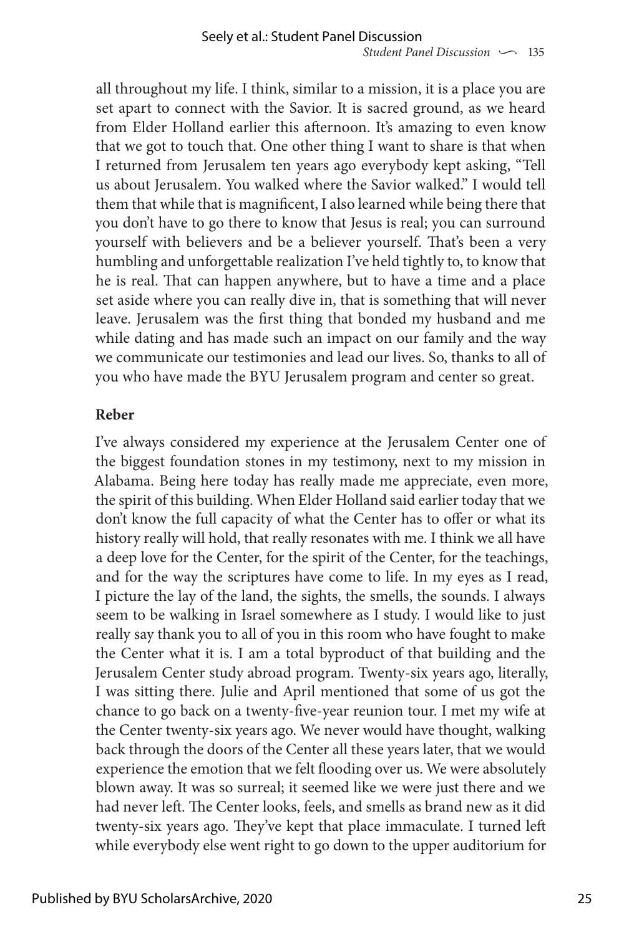all throughout my life. I think, similar to a mission, it is a place you are set apart to connect with the Savior. It is sacred ground, as we heard from Elder Holland earlier this afternoon. It's amazing to even know that we got to touch that. One other thing I want to share is that when I returned from Jerusalem ten years ago everybody kept asking, "Tell us about Jerusalem. You walked where the Savior walked." I would tell them that while that is magnificent, I also learned while being there that you don't have to go there to know that Jesus is real; you can surround yourself with believers and be a believer yourself. That's been a very humbling and unforgettable realization I've held tightly to, to know that he is real. That can happen anywhere, but to have a time and a place set aside where you can really dive in, that is something that will never leave. Jerusalem was the first thing that bonded my husband and me while dating and has made such an impact on our family and the way we communicate our testimonies and lead our lives. So, thanks to all of you who have made the BYU Jerusalem program and center so great.

#### **Reber**

I've always considered my experience at the Jerusalem Center one of the biggest foundation stones in my testimony, next to my mission in Alabama. Being here today has really made me appreciate, even more, the spirit of this building. When Elder Holland said earlier today that we don't know the full capacity of what the Center has to offer or what its history really will hold, that really resonates with me. I think we all have a deep love for the Center, for the spirit of the Center, for the teachings, and for the way the scriptures have come to life. In my eyes as I read, I picture the lay of the land, the sights, the smells, the sounds. I always seem to be walking in Israel somewhere as I study. I would like to just really say thank you to all of you in this room who have fought to make the Center what it is. I am a total byproduct of that building and the Jerusalem Center study abroad program. Twenty-six years ago, literally, I was sitting there. Julie and April mentioned that some of us got the chance to go back on a twenty-five-year reunion tour. I met my wife at the Center twenty-six years ago. We never would have thought, walking back through the doors of the Center all these years later, that we would experience the emotion that we felt flooding over us. We were absolutely blown away. It was so surreal; it seemed like we were just there and we had never left. The Center looks, feels, and smells as brand new as it did twenty-six years ago. They've kept that place immaculate. I turned left while everybody else went right to go down to the upper auditorium for